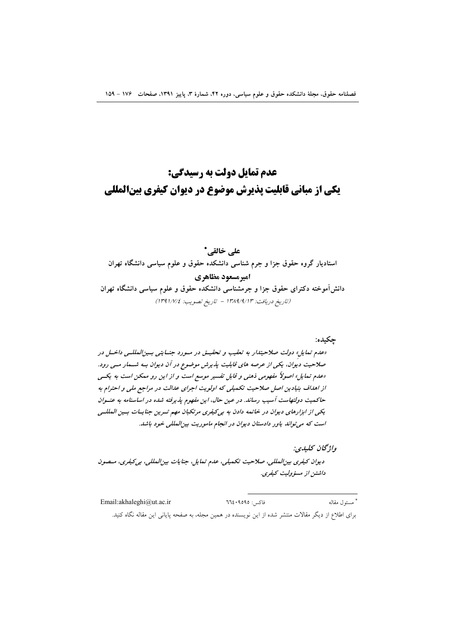# عدم تمایل دولت به رسیدگی: **یکی از مبانی قابلیت پذیرش موضوع در دیوان کیفری بینالمللی**

## على خالقى\*

استادیار گروه حقوق جزا و جرم شناسی دانشکده حقوق و علوم سیاسی دانشگاه تهران

امیرمسعود مظاهری

دانش آموخته دکترای حقوق جزا و جرمشناسی دانشکده حقوق و علوم سیاسی دانشگاه تهران (تاريخ دريافت: ١٣٨٩/٩/١٣ - تاريخ تصويب: ١٣٩١/٧/٤)

جكبده: «عدم تمایل» دولت صلاحیتدار به تعقیب و تحقیق در مسورد جنسایتی بسین المللسی داخسل در صلاحیت دیوان، یکی از عرصه های قابلیت پذیرش موضوع در آن دیوان بـه شــهار مــی رود. «عدم تمایل» اصولاً مفهومی ذهنی و قابل تفسیر موسع است و از این رو ممکن است به یکسی از اهداف بنیادین اصل صلاحیت تکمیلی که اولویت اجرای عدالت در مراجع ملی و احترام به حاكميت دولتهاست آسيب رساند. در عين حال، اين مفهوم پذيرفته شده در اساسنامه به عنــوان یکی از ابزارهای دیوان در خاتمه دادن به بی کیفری مرتکبان مهم تسرین جنایسات بسین المللسی است که می تواند یاور دادستان دیوان در انجام ماموریت بین المللی خود باشد.

واژىحان يىلىدى:

ديوان كيفري بين المللي، صلاحيت تكميلي، عدم تمايل، جنايات بين المللي، بي كيفري، مـصون داشتن از مسؤوليت كيفري.

\* مسئول مقاله Email:akhaleghi@ut.ac.ir فاكس: ٩٥٩٥: ٦٦٤ برای اطلاع از دیگر مقالات منتشر شده از این نویسنده در همین مجله، به صفحه پایانی این مقاله نگاه کنید.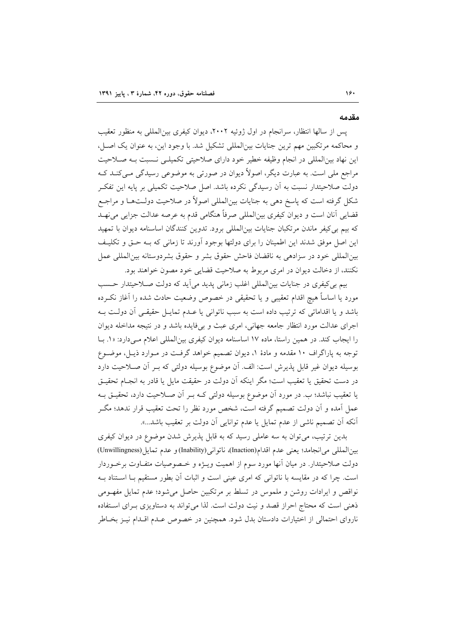#### مقدمه

یس از سالها انتظار، سرانجام در اول ژوئیه ۲۰۰۲، دیوان کیفری بینالمللی به منظور تعقیب و محاکمه مرتکبین مهم ترین جنایات بینالمللی تشکیل شد. با وجود این، به عنوان یک اصل، این نهاد بینالمللی در انجام وظیفه خطیر خود دارای صلاحیتی تکمیلـی نـسبت بـه صـلاحیت مراجع ملي است. به عبارت ديگر، اصولاً ديوان در صورتي به موضوعي رسيدگي مـي5نــد کــه دولت صلاحیتدار نسبت به آن رسیدگی نکرده باشد. اصل صلاحیت تکمیلی بر پایه این تفکـر شکل گرفته است که پاسخ دهی به جنایات بین|لمللی اصولاً در صلاحیت دولـتهـا و مراجـع قضایی آنان است و دیوان کیفری بین|لمللی صرفاً هنگامی قدم به عرصه عدالت جزایی می نهـد که بیم بی کیفر ماندن مرتکبان جنایات بین|لمللی برود. تدوین کنندگان اساسنامه دیوان با تمهید این اصل موفق شدند این اطمینان را برای دولتها بوجود آورند تا زمانی که بـه حـق و تکلیـف بين المللي خود در سزادهي به ناقضان فاحش حقوق بشر و حقوق بشردوستانه بين المللي عمل نکنند، از دخالت دیوان در امری مربوط به صلاحیت قضایی خود مصون خواهند بود.

بیم بی کیفری در جنایات بین|لمللی اغلب زمانی پدید می آید که دولت صلاحیتدار حسب مورد يا اساساً هيچ اقدام تعقيبي و يا تحقيقي در خصوص وضعيت حادث شده را آغاز نكـرده باشد و یا اقداماتی که ترتیب داده است به سبب ناتوانی یا عـدم تمایـل حقیقـی آن دولـت بـه اجرای عدالت مورد انتظار جامعه جهانی، امری عبث و بی فایده باشد و در نتیجه مداخله دیوان را ایجاب کند. در همین راستا، ماده ۱۷ اساسنامه دیوان کیفری بینالمللی اعلام مے دارد: «۱. بــا توجه به پاراگراف ۱۰ مقدمه و مادهٔ ۱، دیوان تصمیم خواهد گرفت در مـوارد ذیـل، موضـوع بوسیله دیوان غیر قابل پذیرش است: الف. آن موضوع بوسیله دولتی که بــر آن صــلاحیت دارد در دست تحقیق یا تعقیب است؛ مگر اینکه آن دولت در حقیقت مایل یا قادر به انجـام تحقیـق یا تعقیب نباشد؛ ب. در مورد اَن موضوع بوسیله دولتی کــه بــر اَن صـــلاحیت دارد، تحقیــق بــه عمل آمده و آن دولت تصمیم گرفته است، شخص مورد نظر را تحت تعقیب قرار ندهد؛ مگـر أنكه أن تصميم ناشي از عدم تمايل يا عدم توانايي أن دولت بر تعقيب باشد...».

بدین ترتیب، می توان به سه عاملی رسید که به قابل پذیرش شدن موضوع در دیوان کیفری بين المللي مي انجامد؛ يعني عدم اقدام(Inaction)، ناتواني(Inability) و عدم تمايل(Unwillingness) دولت صلاحیتدار. در میان أنها مورد سوم از اهمیت ویــژه و خــصوصیات متفــاوت برخــوردار است. چرا که در مقایسه با ناتوانی که امری عینی است و اثبات آن بطور مستقیم بـا اسـتناد بـه نواقص و ایرادات روشن و ملموس در تسلط بر مرتکبین حاصل میشود؛ عدم تمایل مفهـومی ذهنی است که محتاج احراز قصد و نیت دولت است. لذا می تواند به دستاویزی بـرای اسـتفاده ناروای احتمالی از اختیارات دادستان بدل شود. همچنین در خصوص عـدم اقـدام نیـز بخـاطر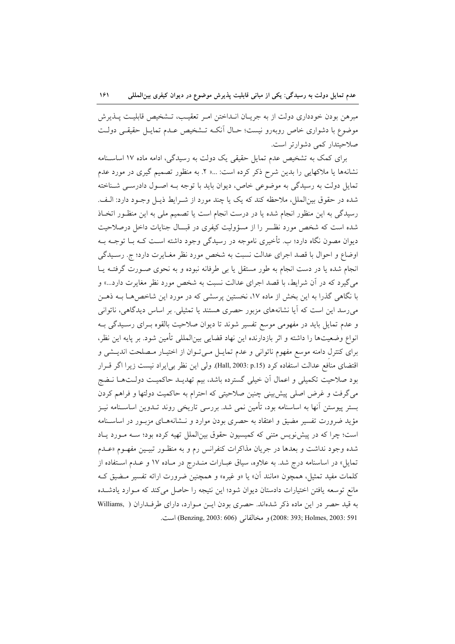مبرهن بودن خودداري دولت از به جريـان انــداختن امـر تعقيـب، تــشخيص قابليـت پــذيرش موضوع با دشواری خاص روبهرو نیست؛ حـال آنکـه تـشخیص عـدم تمایـل حقیقـی دولـت صلاحیتدار کمی دشوارتر است.

برای کمک به تشخیص عدم تمایل حقیقی یک دولت به رسیدگی، ادامه ماده ١٧ اساسـنامه نشانهها یا ملاکهایی را بدین شرح ذکر کرده است: ...« ۲. به منظور تصمیم گیری در مورد عدم تمایل دولت به رسیدگی به موضوعی خاص، دیوان باید با توجه بـه اصـول دادرسـی شـناخته شده در حقوق بین|لملل، ملاحظه کند که یک یا چند مورد از شـرایط ذیـل وجـود دارد: الـف. رسیدگی به این منظور انجام شده یا در درست انجام است یا تصمیم ملی به این منظـور اتخـاذ شده است که شخص مورد نظـــر را از مسؤولیت کیفری در قبـــال جنایات داخل درصلاحیت دیوان مصون نگاه دارد؛ ب. تأخیری ناموجه در رسیدگی وجود داشته است کـه بــا توجــه بــه اوضاع و احوال با قصد اجراي عدالت نسبت به شخص مورد نظر مغـايرت دارد؛ ج. رسـيدگي انجام شده یا در دست انجام به طور مستقل یا بی طرفانه نبوده و به نحوی صـورت گرفتــه یــا می گیرد که در آن شرایط، با قصد اجرای عدالت نسبت به شخص مورد نظر مغایرت دارد...» و با نگاهی گذرا به این بخش از ماده ۱۷، نخستین پرسشی که در مورد این شاخص هـا بـه ذهـن میرسد این است که آیا نشانههای مزبور حصری هستند یا تمثیلی. بر اساس دیدگاهی، ناتوانی و عدم تمایل باید در مفهومی موسع تفسیر شوند تا دیوان صلاحیت بالقوه بــرای رســیدگی بــه انواع وضعیتها را داشته و اثر بازدارنده این نهاد قضایی بین|لمللی تأمین شود. بر پایه این نظر، برای کنترل دامنه موسع مفهوم ناتوانی و عدم تمایـل مـیتوان از اختیـار مـصلحت اندیـشی و اقتضاى منافع عدالت استفاده كرد (15,p :1303 Hall). ولي اين نظر بي|يراد نيست زيرا اگر قـرار بود صلاحیت تکمیلی و اعمال اَن خیلی گسترده باشد، بیم تهدیــد حاکمیــت دولــتـهــا نــضج می گرفت و غرض اصلی پیش بینی چنین صلاحیتی که احترام به حاکمیت دولتها و فراهم کردن بستر پیوستن آنها به اساسنامه بود، تأمین نمی شد. بررسی تاریخی روند تــدوین اساســنامه نیــز مؤید ضرورت تفسیر مضیق و اعتقاد به حصری بودن موارد و نـشانههـای مزبـور در اساسـنامه است؛ چرا که در پیش نویس متنی که کمیسیون حقوق بین الملل تهیه کرده بود؛ سـه مـورد یـاد شده وجود نداشت و بعدها در جريان مذاكرات كنفرانس رم و به منظـور تبيـين مفهـوم «عــدم تمایل» در اساسنامه درج شد. به علاوه، سیاق عبـارات منـدرج در مـاده ۱۷ و عـدم اسـتفاده از کلمات مفید تمثیل، همچون «مانند آن» یا «و غیره» و همچنین ضرورت ارائه تفسیر مـضیق کـه مانع توسعه یافتن اختیارات دادستان دیوان شود؛ این نتیجه را حاصل می کند که مـوارد یادشـده به قید حصر در این ماده ذکر شدهاند. حصری بودن ایـن مـوارد، دارای طرفـداران ( Williams, Eenzing, 2003: 606) و مخالفاني (806: 606) (Benzing, 2003: 606) است.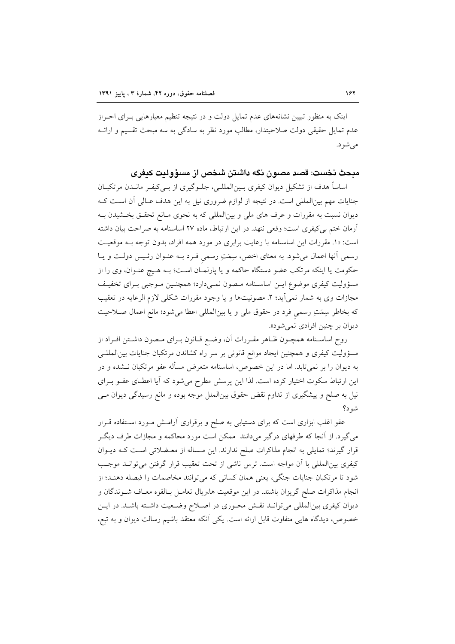اینک به منظور تبیین نشانههای عدم تمایل دولت و در نتیجه تنظیم معیارهایی بـرای احـراز عدم تمایل حقیقی دولت صلاحیتدار، مطالب مورد نظر به سادگی به سه مبحث تقسیم و ارائــه می شو د.

مبحث نخست: قصد مصون نگه داشتن شخص از مسؤولىت كىفرى

اساساً هدف از تشکیل دیوان کیفری بـینالمللـی، جلـوگیری از بـیکیفـر مانـدن مرتکبـان جنایات مهم بینالمللی است. در نتیجه از لوازم ضروری نیل به این هدف عـالی آن اسـت کـه دیوان نسبت به مقررات و عرف های ملی و بین|لمللی که به نحوی مـانع تحقـق بخـشیدن بـه آرمان ختم بی کیفری است؛ وقعی ننهد. در این ارتباط، ماده ۲۷ اساسنامه به صراحت بیان داشته است: «١. مقررات این اساسنامه با رعایت برابری در مورد همه افراد، بدون توجه بـه موقعیت رسمي آنها اعمال مي شود. به معناي اخص، سِمَتِ رسمي فـرد بـه عنـوان رئـيس دولـت و يـا حکومت یا اینکه مرتکب عضو دستگاه حاکمه و یا پارلمـان اسـت؛ بـه هـیچ عنـوان، وی را از مسؤوليت كيفري موضوع ايـن اساسـنامه مـصون نمـي،دارد؛ همچنـين مـوجبي بـراي تخفيـف مجازات وي به شمار نمي آيد؛ ٢. مصونيتها و يا وجود مقررات شكلي لازم الرعايه در تعقيب كه بخاطر سِمَتِ رسمي فرد در حقوق ملي و يا بين(لمللي اعطا مي شود؛ مانع اعمال صلاحيت ديوان بر چنين افرادي نمي شود».

روح اساسـنامه همچـون ظـاهر مقـررات آن، وضـع قـانون بـراي مـصون داشـتن افـراد از مسؤولیت کیفری و همچنین ایجاد موانع قانونی بر سر راه کشاندن مرتکبان جنایات بین|لمللــی به دیوان را بر نمیتابد. اما در این خصوص، اساسنامه متعرض مسأله عفو مرتکبان نــشده و در این ارتباط سکوت اختیار کرده است. لذا این پرسش مطرح می شود که آیا اعطـای عفـو بـرای نیل به صلح و پیشگیری از تداوم نقض حقوق بین|لملل موجه بوده و مانع رسیدگی دیوان مـی شه د؟

عفو اغلب ابزاری است که برای دستیابی به صلح و برقراری آرامش مورد استفاده قـرار می گیرد. از آنجا که طرفهای درگیر می دانند ً ممکن است مورد محاکمه و مجازات طرف دیگ قرار گیرند؛ تمایلی به انجام مذاکرات صلح ندارند. این مـساله از معـضلاتی اسـت کــه دیــوان كيفري بين|لمللي با أن مواجه است. ترس ناشي از تحت تعقيب قرار گرفتن مي توانـد موجـب شود تا مرتکبان جنایات جنگی، یعنی همان کسانی که می توانند مخاصمات را فیصله دهنـد؛ از انجام مذاکرات صلح گریزان باشند. در این موقعیت ها،ریال تعامـل بـالقوه معـاف شــوندگان و دیوان کیفری بین|لمللی می توانـد نقـش محـوری در اصـلاح وضـعیت داشـته باشـد. در ایـن خصوص، دیدگاه هایی متفاوت قابل ارائه است. یکی آنکه معتقد باشیم رسالت دیوان و به تبع،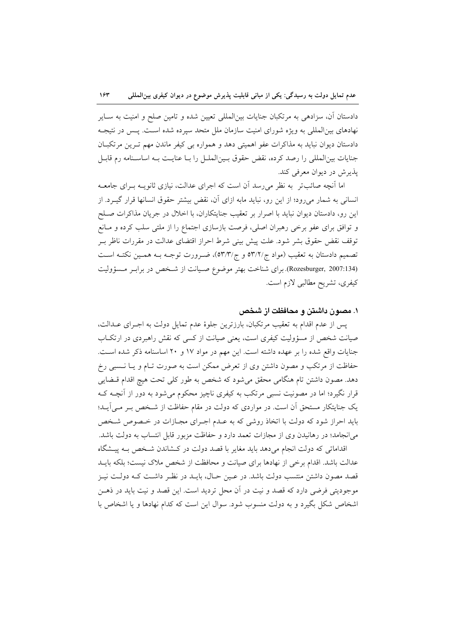دادستان آن، سزادهی به مرتکبان جنایات بین|لمللی تعیین شده و تامین صلح و امنیت به ســایر نهادهای بینالمللی به ویژه شورای امنیت سازمان ملل متحد سپرده شده است. پـس در نتیجـه دادستان دیوان نباید به مذاکرات عفو اهمیتی دهد و همواره بی کیفر ماندن مهم تـرین مرتکبـان جنايات بين|لمللي را رصد كرده، نقض حقوق بـين|لملـل را بـا عنايـت بـه اساسـنامه رم قابـل يذير ش در ديوان معرفي كند.

اما آنچه صائبتر ً به نظر می رسد آن است که اجرای عدالت، نیازی ثانویــه بــرای جامعــه انسانی به شمار میرود؛ از این رو، نباید مابه ازای آن، نقض بیشتر حقوق انسانها قرار گیـرد. از این رو، دادستان دیوان نباید با اصرار بر تعقیب جنایتکاران، با اخلال در جریان مذاکرات صـلح و توافق برای عفو برخی رهبران اصلی، فرصت بازسازی اجتماع را از ملتی سلب کرده و مـانع توقف نقض حقوق بشر شود. علت پیش بینی شرط احراز اقتضای عدالت در مقررات ناظر بـر تصميم دادستان به تعقيب (مواد ج/٢/٢ه و ج/٥٣/٣)، ضـرورت توجـه بـه همـين نكتـه اسـت (Rozesburger, 2007:134). برای شناخت بهتر موضوع صـيانت از شـخص در برابـر مـسؤوليت كيفري، تشريح مطالبي لازم است.

۱. مصون داشتن و محافظت از شخص

يس از عدم اقدام به تعقيب مرتكبان، بارزترين جلوهٔ عدم تمايل دولت به اجـراي عــدالت، صیانت شخص از مسؤولیت کیفری است، یعنی صیانت از کسی که نقش راهبردی در ارتکـاب جنایات واقع شده را بر عهده داشته است. این مهم در مواد ۱۷ و ۲۰ اساسنامه ذکر شده است. حفاظت از مرتکب و مصون داشتن وی از تعرض ممکن است به صورت تـام و یـا نـسبی رخ دهد. مصون داشتن تام هنگامی محقق می شود که شخص به طور کلی تحت هیچ اقدام قبضایی قرار نگیرد؛ اما در مصونیت نسبی مرتکب به کیفری ناچیز محکوم میشود به دور از آنچــه کــه یک جنایتکار مستحق آن است. در مواردی که دولت در مقام حفاظت از شخص بـر مـی]یـد؛ باید احراز شود که دولت با اتخاذ روشی که به عـدم اجـرای مجـازات در خـصوص شـخص می انجامد؛ در رهانیدن وی از مجازات تعمد دارد و حفاظت مزبور قابل انتساب به دولت باشد.

اقداماتی که دولت انجام میدهد باید مغایر با قصد دولت در کشاندن شخص بـه پیـشگاه عدالت باشد. اقدام برخی از نهادها برای صیانت و محافظت از شخص ملاک نیست؛ بلکه بایــد قصد مصون داشتن منتسب دولت باشد. در عـین حـال، بایـد در نظـر داشـت کـه دولـت نیـز موجوديتي فرضي دارد كه قصد و نيت در آن محل ترديد است. اين قصد و نيت بايد در ذهـن اشخاص شکل بگیرد و به دولت منسوب شود. سوال این است که کدام نهادها و یا اشخاص با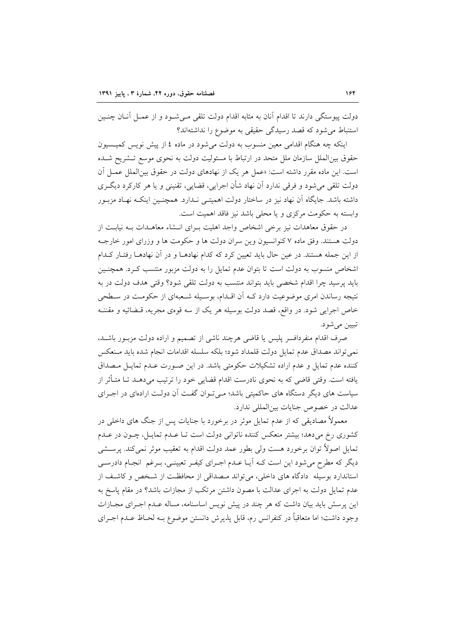دولت پیوستگی دارند تا اقدام آنان به مثابه اقدام دولت تلقی مـیشـود و از عمـل آنــان چنــین استنباط می شود که قصد رسیدگی حقیقی به موضوع را نداشتهاند؟

اینکه چه هنگام اقدامی معین منسوب به دولت میشود در ماده ٤ از پیش نویس کمیـسیون حقوق بین|لملل سازمان ملل متحد در ارتباط با مسئولیت دولت به نحوی موسع تــشریح شــده است. این ماده مقرر داشته است: «عمل هر یک از نهادهای دولت در حقوق بین|لملل عمـل آن دولت تلقي مي شود و فرقي ندارد اَن نهاد شأن اجرايي، قضايي، تقنيني و يا هر كاركرد ديگري داشته باشد. جایگاه آن نهاد نیز در ساختار دولت اهمیتـی نـدارد. همچنـین اینکـه نهـاد مزبـور وابسته به حکومت مرکزی و یا محلی باشد نیز فاقد اهمیت است.

در حقوق معاهدات نیز برخی اشخاص واجد اهلیت بـرای انـشاء معاهـدات بـه نیابـت از دولت هستند. وفق ماده ۷ کنوانسیون وین سران دولت ها و حکومت ها و وزرای امور خارجـه از این جمله هستند. در عین حال باید تعیین کرد که کدام نهادهــا و در آن نهادهــا رفتــار کــدام اشخاص منسوب به دولت است تا بتوان عدم تمایل را به دولت مزبور منتسب کـرد. همچنـین بايد پرسيد چرا اقدام شخصي بايد بتواند منتسب به دولت تلقى شود؟ وقتى هدف دولت در به نتیجه رساندن امری موضوعیت دارد کـه آن اقــدام، بوســیله شــعبهای از حکومـت در ســطحی خاص اجرایی شود. در واقع، قصد دولت بوسیله هر یک از سه قوهی مجریه، قبضائیه و مقننـه تبيين مي شود.

صرف اقدام منفردافسر پلیس یا قاضی هرچند ناشی از تصمیم و اراده دولت مزبـور باشـد، نمی تواند مصداق عدم تمایل دولت قلمداد شود؛ بلکه سلسله اقدامات انجام شده باید مـنعکس كننده عدم تمايل و عدم اراده تشكيلات حكومتي باشد. در اين صـورت عـدم تمايـل مـصداق یافته است. وقتی قاضی که به نحوی نادرست اقدام قضایی خود را ترتیب میدهــد تــا متــأثر از سیاست های دیگر دستگاه های حاکمیتی باشد؛ مـیتوان گفـت آن دولـت ارادهای در اجـرای عدالت در خصوص جنايات بين المللي ندارد.

معمولاً مصادیقی که از عدم تمایل موثر در برخورد با جنایات پس از جنگ های داخلی در کشوری رخ میدهد؛ بیشتر منعکس کننده ناتوانی دولت است تـا عـدم تمایـل، چـون در عـدم تمایل اصولاً توان برخورد هست ولی بطور عمد دولت اقدام به تعقیب موثر نمیکند. پرســشی دیگر که مطرح میشود این است کـه آیـا عـدم اجـرای کیفـر تعیینـی، بـرغم انجـام دادرسـی استاندارد بوسیله دادگاه های داخلی، میتواند مصداقی از محافظت از شخص و کاشف از عدم تمایل دولت به اجرای عدالت با مصون داشتن مرتکب از مجازات باشد؟ در مقام یاسخ به این پرسش باید بیان داشت که هر چند در پیش نویس اساسنامه، مساله عـدم اجـرای مجـازات وجود داشت؛ اما متعاقباً در كنفرانس رم، قابل پذيرش دانستن موضوع بــه لحــاظ عــدم اجــراي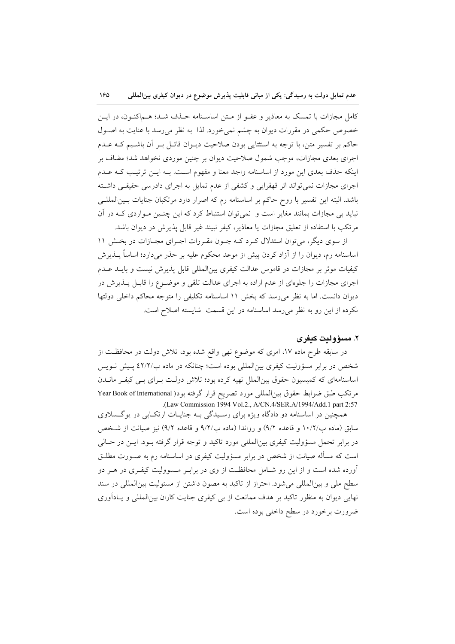کامل مجازات با تمسک به معاذیر و عفـو از مـتن اساسـنامه حـذف شـد؛ هــماکنــون، در ایــن خصوص حکمی در مقررات دیوان به چشم نمی خورد. لذا به نظر می رسد با عنایت به اصـول حاکم بر تفسیر متن، با توجه به اسنثتایی بودن صلاحیت دیـوان قائـل بـر آن باشـیم کـه عـدم اجرای بعدی مجازات، موجب شمول صلاحیت دیوان بر چنین موردی نخواهد شد؛ مضاف بر اینکه حذف بعدی این مورد از اساسنامه واجد معنا و مفهوم است. بـه ایــن ترتیـب کــه عــدم اجرای مجازات نمی تواند اثر قهقرایی و کشفی از عدم تمایل به اجرای دادرسی حقیقی داشته باشد. البته این تفسیر با روح حاکم بر اساسنامه رم که اصرار دارد مرتکبان جنایات بـینالمللـی نباید بی مجازات بمانند مغایر است و نمی توان استنباط کرد که این چنـین مـواردی کـه در آن مرتكب با استفاده از تعليق مجازات يا معاذير، كيفر نبيند غير قابل پذيرش در ديوان باشد.

از سوی دیگر، میتوان استدلال کرد کـه چـون مقـررات اجـرای مجـازات در بخـش ١١ اساسنامه رم، دیوان را از آزاد کردن پیش از موعد محکوم علیه بر حذر میدارد؛ اساساً پــذیرش کیفیات موثر بر مجازات در قاموس عدالت کیفری بین|لمللی قابل پذیرش نیست و بایــد عــدم اجرای مجازات را جلوهای از عدم اراده به اجرای عدالت تلقی و موضـوع را قابـل پــذیرش در دیوان دانست. اما به نظر می رسد که بخش ١١ اساسنامه تکلیفی را متوجه محاکم داخلی دولتها نکرده از این رو به نظر می رسد اساسنامه در این قسمت شایسته اصلاح است.

#### ٢. مسؤوليت كيفري

در سابقه طرح ماده ۱۷، امری که موضوع نهی واقع شده بود، تلاش دولت در محافظت از شخص در برابر مسؤولیت کیفری بین المللی بوده است؛ چنانکه در ماده ب/٢/٢ پیش نـویس اساسنامهای که کمیسیون حقوق بین الملل تهیه کرده بود؛ تلاش دولت بـرای بـی کیفـر مانــدن مرتكب طبق ضوابط حقوق بين|لمللي مورد تصريح قرار گرفته بود( Year Book of International .(Law Commission 1994 Vol.2., A/CN.4/SER.A/1994/Add.1 part 2:57

همچنین در اساسنامه دو دادگاه ویژه برای رسیدگی بـه جنایـات ارتکـابی در یوگـسلاوی سابق (ماده ب١٠/٢/ و قاعده ٩/٢) و رواندا (ماده ب٩/٢/ و قاعده ٩/٢) نيز صيانت از شـخص در برابر تحمل مسؤولیت کیفری بینالمللی مورد تاکید و توجه قرار گرفته بـود. ایــن در حــالی است که مسأله صیانت از شخص در برابر مسؤولیت کیفری در اساسنامه رم به صـورت مطلـق آورده شده است و از این رو شـامل محافظـت از وی در برابـر مـسوولیت کیفـری در هـر دو سطح ملی و بینالمللی میشود. احتراز از تاکید به مصون داشتن از مسئولیت بینالمللی در سند نهایی دیوان به منظور تاکید بر هدف ممانعت از بی کیفری جنایت کاران بین|لمللی و پـادآوری ضرورت برخورد در سطح داخلی بوده است.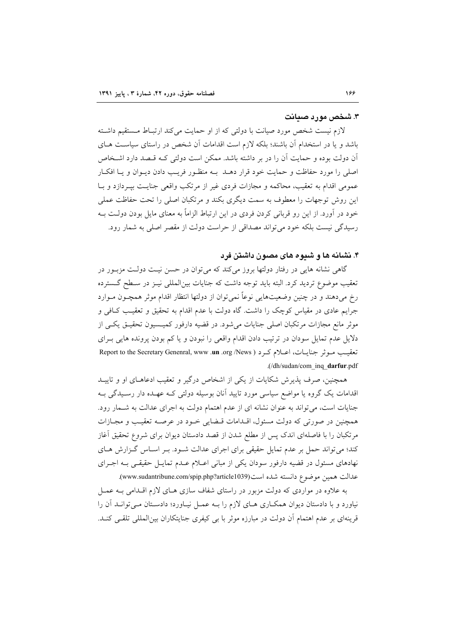### ۳. شخص مورد صیانت

لازم نیست شخص مورد صیانت با دولتی که از او حمایت میکند ارتبـاط مـستقیم داشـته باشد و یا در استخدام اَن باشند؛ بلکه لازم است اقدامات اَن شخص در راستای سیاسـت هــای آن دولت بوده و حمایت آن را در بر داشته باشد. ممکن است دولتی کـه قـصد دارد اشـخاص اصلی را مورد حفاظت و حمایت خود قرار دهــد بــه منظـور فریــب دادن دیــوان و یــا افکــار عمومي اقدام به تعقيب، محاكمه و مجازات فردي غير از مرتكب واقعي جنايـت بيـردازد و بـا این روش توجهات را معطوف به سمت دیگری بکند و مرتکبان اصلی را تحت حفاظت عملی خود در آورد. از این رو قربانی کردن فردی در این ارتباط الزاماً به معنای مایل بودن دولـت بــه رسیدگی نیست بلکه خود می تواند مصداقی از حراست دولت از مقصر اصلی به شمار رود.

# ۴. نشانه ها و شیوه های مصون داشتن فرد

گاهی نشانه هایی در رفتار دولتها بروز میکند که می توان در حسن نیت دولت مزبور در تعقیب موضوع تردید کرد. البته باید توجه داشت که جنایات بین المللی نیـز در سـطح گـسترده رخ میٖدهند و در چنین وضعیتهایی نوعاً نمیٍ توان از دولتها انتظار اقدام موثر همچــون مــوارد جرایم عادی در مقیاس کوچک را داشت. گاه دولت با عدم اقدام به تحقیق و تعقیب کـافی و موثر مانع مجازات مرتکبان اصلی جنایات میشود. در قضیه دارفور کمیسیون تحقیـق یکـی از دلایل عدم تمایل سودان در ترتیب دادن اقدام واقعی را نبودن و یا کم بودن پرونده هایی بـرای تعقيب موثر جنايـات، اعـلام كـرد ( Report to the Secretary Genenral, www .un .org /News .(/dh/sudan/com inq darfur.pdf

همچنین، صرف پذیرش شکایات از یکی از اشخاص درگیر و تعقیب ادعاهـای او و تاییــد اقدامات یک گروه یا مواضع سیاسی مورد تایید آنان بوسیله دولتی کـه عهـده دار رسـیدگی بـه جنایات است، می تواند به عنوان نشانه ای از عدم اهتمام دولت به اجرای عدالت به شـمار رود. همچنین در صورتی که دولت مسئول، اقـدامات قـضایی خـود در عرصـه تعقیـب و مجـازات مرتکبان را با فاصلهای اندک پس از مطلع شدن از قصد دادستان دیوان برای شروع تحقیق أغاز کند؛ می تواند حمل بر عدم تمایل حقیقی برای اجرای عدالت شـود. بـر اسـاس گـزارش هـای نهادهای مسئول در قضیه دارفور سودان یکی از مبانی اعـلام عـدم تمایـل حقیقـی بـه اجـرای عدالت همين موضوع دانسته شده است(www.sudantribune.com/spip.php?article1039).

به علاوه در مواردی که دولت مزبور در راستای شفاف سازی هـای لازم اقــدامی بــه عمــل نیاورد و با دادستان دیوان همکـاری هـای لازم را بـه عمـل نیـاورد؛ دادسـتان مـی توانــد آن را قرینهای بر عدم اهتمام آن دولت در مبارزه موثر با بی کیفری جنایتکاران بینالمللی تلقبی کنـد.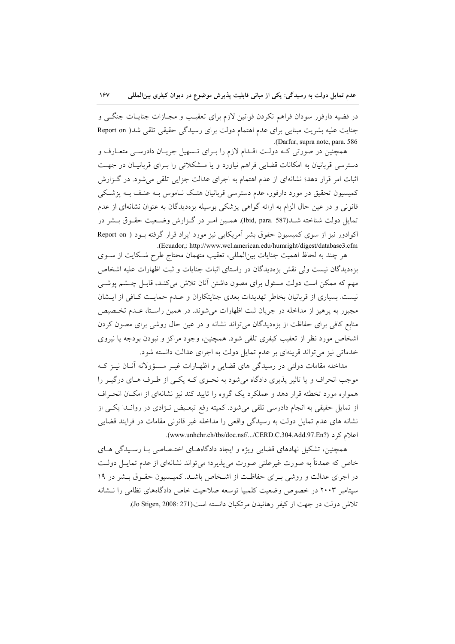در قضیه دارفور سودان فراهم نکردن قوانین لازم برای تعقیب و مجـازات جنایــات جنگــی و جنایت علیه بشریت مبنایی برای عدم اهتمام دولت برای رسیدگی حقیقی تلقی شد( Report on .(Darfur, supra note, para. 586

همچنین در صورتی کـه دولـت اقـدام لازم را بـرای تـسهیل جریـان دادرسـی متعـارف و دسترسی قربانیان به امکانات قضایی فراهم نیاورد و یا مشکلاتی را بـرای قربانیـان در جهـت اثبات امر قرار دهد؛ نشانهای از عدم اهتمام به اجرای عدالت جزایی تلقی می شود. در گـزارش کمیسیون تحقیق در مورد دارفور، عدم دسترسی قربانیان هتک ناموس بـه عنـف بـه پزشـکی قانونی و در عین حال الزام به ارائه گواهی پزشکی بوسیله بزهدیدگان به عنوان نشانهای از عدم تمایل دولت شناخته شــد(Ibid, para. 587). همــین امـر در گــزارش وضـعیت حقــوق بــشر در اکوادور نیز از سوی کمیسیون حقوق بشر آمریکایی نیز مورد ایراد قرار گرفته بـود ( Report on .(Ecuador,: http://www.wcl.american.edu/humright/digest/database3.cfm

هر چند به لحاظ اهمیت جنایات بین|لمللی، تعقیب متهمان محتاج طرح شـکایت از ســوی بزهدیدگان نیست ولی نقش بزهدیدگان در راستای اثبات جنایات و ثبت اظهارات علیه اشخاص مهم که ممکن است دولت مسئول برای مصون داشتن آنان تلاش میکنـد، قابـل چــشم پوشــی نیست. بسیاری از قربانیان بخاطر تهدیدات بعدی جنایتکاران و عـدم حمایـت کـافی از ایـشان مجبور به پرهیز از مداخله در جریان ثبت اظهارات میشوند. در همین راسـتا، عـدم تخـصیص منابع کافی برای حفاظت از بزهدیدگان میتواند نشانه و در عین حال روشی برای مصون کردن اشخاص مورد نظر از تعقيب كيفري تلقى شود. همچنين، وجود مراكز و نبودن بودجه يا نيروي خدماتی نیز می تواند قرینهای بر عدم تمایل دولت به اجرای عدالت دانسته شود.

مداخله مقامات دولتی در رسیدگی های قضایی و اظهـارات غیـر مـسؤولانه آنــان نیــز کــه موجب انحراف و یا تاثیر پذیری دادگاه میشود به نحـوی کـه یکـی از طـرف هـای درگیــر را همواره مورد تخطئه قرار دهد و عملکرد یک گروه را تایید کند نیز نشانهای از امکـان انحـراف از تمایل حقیقی به انجام دادرسی تلقی میشود. کمیته رفع تبعـیض نـژادی در روانـدا یکـی از نشانه های عدم تمایل دولت به رسیدگی واقعی را مداخله غیر قانونی مقامات در فرایند قضایی اعلام کرد (www.unhchr.ch/tbs/doc.nsf/.../CERD.C.304.Add.97.En?).

همچنین، تشکیل نهادهای قضایی ویژه و ایجاد دادگاههـای اختـصاصی بـا رسـیدگی هـای خاص که عمدتاً به صورت غیرعلنی صورت می پذیرد؛ می تواند نشانهای از عدم تمایــل دولــت در اجرای عدالت و روشی بـرای حفاظـت از اشـخاص باشـد. کمیـسیون حقـوق بـشر در ۱۹ سيتامبر ٢٠٠٣ در خصوص وضعيت كلمبيا توسعه صلاحيت خاص دادگاههاي نظامي را نــشانه تلاش دولت در جهت از کیفر رهانیدن مرتکبان دانسته است(Jo Stigen, 2008: 271).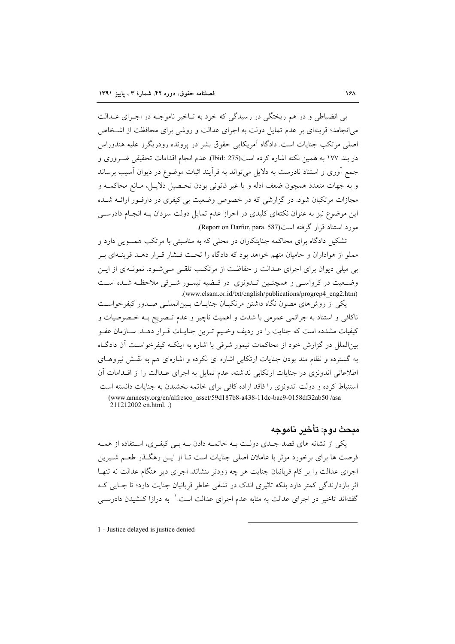بی انضباطی و در هم ریختگی در رسیدگی که خود به تـاخیر ناموجــه در اجـرای عــدالت می انجامد؛ قرینهای بر عدم تمایل دولت به اجرای عدالت و روشی برای محافظت از اشـخاص اصلی مرتکب جنایات است. دادگاه آمریکایی حقوق بشر در پرونده رودریگرز علیه هندوراس در بند ۱۷۷ به همین نکته اشاره کرده است(Ibid: 275). عدم انجام اقدامات تحقیقی ضــروری و جمع آوري و استناد نادرست به دلایل مي تواند به فرآيند اثبات موضوع در ديوان آسيب برساند و به جهات متعدد همچون ضعف ادله و يا غير قانوني بودن تحـصيل دلايـل، مـانع محاكمـه و مجازات مرتکبان شود. در گزارشی که در خصوص وضعیت بی کیفری در دارفور ارائـه شـده این موضوع نیز به عنوان نکتهای کلیدی در احراز عدم تمایل دولت سودان بـه انجـام دادرســی مورد استناد قرار گرفته است(Report on Darfur, para. 587).

تشکیل دادگاه برای محاکمه جنایتکاران در محلی که به مناسبتی با مرتکب همسویی دارد و مملو از هواداران و حامیان متهم خواهد بود که دادگاه را تحت فـشار قـرار دهــد قرینــهای بــر بی میلی دیوان برای اجرای عـدالت و حفاظـت از مرتکـب تلقـی مـیشـود. نمونـهای از ایـن وضعیت در کرواستی و همچنـین انـدونزی در قـضیه تیمـور شـرقی ملاحظـه شـده اسـت .(www.elsam.or.id/txt/english/publications/progrep4 eng2.htm)

یکی از روش،های مصون نگاه داشتن مرتکبــان جنایــات بــین|لمللــی صــدور کیفرخواســت ناکافی و استناد به جرائمی عمومی با شدت و اهمیت ناچیز و عدم تـصریح بــه خـصوصیات و کیفیات مشدده است که جنایت را در ردیف وخیم تـرین جنایـات قـرار دهـد. ســازمان عفـو بین|لملل در گزارش خود از محاکمات تیمور شرقی با اشاره به اینکـه کیفرخواسـت آن دادگـاه به گسترده و نظام مند بودن جنایات ارتکابی اشاره ای نکرده و اشارهای هم به نقش نیروهـای اطلاعاتی اندونزی در جنایات ارتکابی نداشته، عدم تمایل به اجرای عـدالت را از اقـدامات آن استنباط کرده و دولت اندونزی را فاقد اراده کافی برای خاتمه بخشیدن به جنایات دانسته است (www.amnesty.org/en/alfresco asset/59d187b8-a438-11dc-bac9-0158df32ab50/asa 211212002 en.html..)

# ميحث دو م: تأخير بنامو جه

یکی از نشانه های قصد جبدی دولت ببه خاتمیه دادن ببه بلی کیفری، استفاده از همیه فرصت ها برای برخورد موثر با عاملان اصلی جنایات است تـا از ایــن رهگــذر طعــم شــیرین اجرای عدالت را بر کام قربانیان جنایت هر چه زودتر بنشاند. اجرای دیر هنگام عدالت نه تنهـا اثر بازدارندگی کمتر دارد بلکه تاثیری اندک در تشفی خاطر قربانیان جنایت دارد؛ تا جبایی ک گفتهاند تاخیر در اجرای عدالت به مثابه عدم اجرای عدالت است. ۵ به درازا کـشیدن دادرســی

1 - Justice delayed is justice denied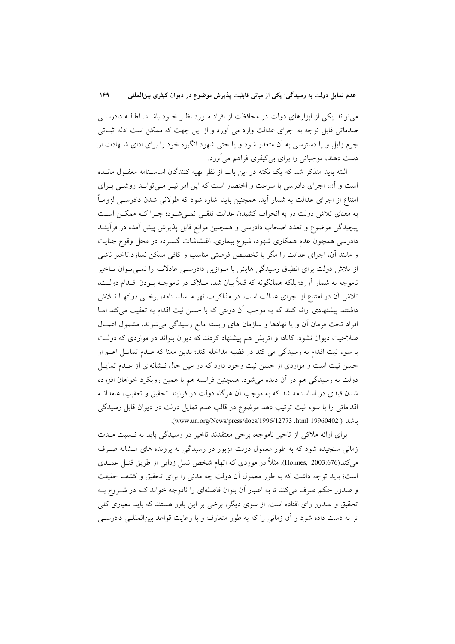می تواند یکی از ابزارهای دولت در محافظت از افراد مـورد نظـر خـود باشـد. اطالـه دادرسـی صدماتی قابل توجه به اجرای عدالت وارد می آورد و از این جهت که ممکن است ادله اثبـاتی جرم زایل و یا دسترسی به آن متعذر شود و یا حتی شهود انگیزه خود را برای ادای شـهادت از دست دهند، موجباتي را براي بي کيفري فراهم مي آورد.

البته باید متذکر شد که یک نکته در این باب از نظر تهیه کنندگان اساسـنامه مغفـول مانــده است و آن، اجرای دادرسی با سرعت و اختصار است که این امر نیـز مـیتوانـد روشـی بـرای امتناع از اجرای عدالت به شمار آید. همچنین باید اشاره شود که طولانی شدن دادرســی لزومــاً به معنای تلاش دولت در به انحراف کشیدن عدالت تلقبی نمبی شود؛ چـرا کـه ممکــن اسـت پیچیدگی موضوع و تعدد اصحاب دادرسی و همچنین موانع قابل پذیرش پیش آمده در فرآینــد دادرسی همچون عدم همکاری شهود، شیوع بیماری، اغتشاشات گسترده در محل وقوع جنایت و مانند آن، اجرای عدالت را مگر با تخصیص فرصتی مناسب و کافی ممکن نسازد.تاخیر ناشی از تلاش دولت برای انطباق رسیدگی هایش با مـوازین دادرسـی عادلانـه را نمـیتوان تـاخیر ناموجه به شمار آورد؛ بلکه همانگونه که قبلاً بیان شد، مــلاک در ناموجــه بــودن اقــدام دولــت، تلاش آن در امتناع از اجرای عدالت است. در مذاکرات تهیـه اساسـنامه، برخــی دولتهــا تــلاش داشتند پیشنهادی ارائه کنند که به موجب آن دولتی که با حسن نیت اقدام به تعقیب میکند امـا افراد تحت فرمان أن و يا نهادها و سازمان هاى وابسته مانع رسيدگى مى شوند، مشمول اعمـال صلاحیت دیوان نشود. کانادا و اتریش هم پیشنهاد کردند که دیوان بتواند در مواردی که دولت با سوء نيت اقدام به رسيدگي مي كند در قضيه مداخله كند؛ بدين معنا كه عـدم تمايـل اعــم از حسن نیت است و مواردی از حسن نیت وجود دارد که در عین حال نـشانهای از عـدم تمایـل دولت به رسیدگی هم در آن دیده میشود. همچنین فرانسه هم با همین رویکرد خواهان افزوده شدن قیدی در اساسنامه شد که به موجب آن هرگاه دولت در فرآیند تحقیق و تعقیب، عامدانــه اقداماتی را با سوء نیت ترتیب دهد موضوع در قالب عدم تمایل دولت در دیوان قابل رسیدگی باشد ( html 19960402).html 19960402).

برای ارائه ملاکی از تاخیر ناموجه، برخی معتقدند تاخیر در رسیدگی باید به نسبت مـدت زمانی سنجیده شود که به طور معمول دولت مزبور در رسیدگی به پرونده های مـشابه صـرف می کند(676:Holmes, 2003). مثلاً در موردی که اتهام شخص نسل زدایی از طریق قتـل عمــدی است؛ باید توجه داشت که به طور معمول آن دولت چه مدتی را برای تحقیق و کشف حقیقت و صدور حکم صرف می کند تا به اعتبار آن بتوان فاصلهای را ناموجه خواند کـه در شـروع بـه تحقیق و صدور رای افتاده است. از سوی دیگر، برخی بر این باور هستند که باید معیاری کلی تر به دست داده شود و آن زمانی را که به طور متعارف و با رعایت قواعد بین|لمللـی دادرســی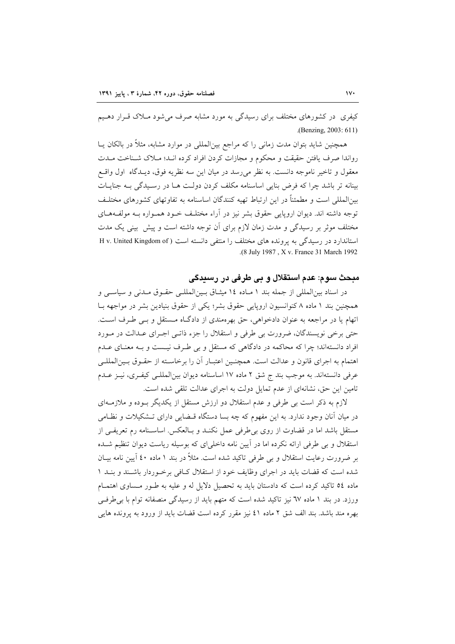کیفری در کشورهای مختلف برای رسیدگی به مورد مشابه صرف می شود مـلاک قـرار دهـیم .(Benzing, 2003: 611)

همچنین شاید بتوان مدت زمانی را که مراجع بین|لمللی در موارد مشابه، مثلاً در بالکان یــا رواندا صرف یافتن حقیقت و محکوم و مجازات کردن افراد کرده انـد؛ مـلاک شـناخت مـدت معقول و تاخیر ناموجه دانست. به نظر می رسد در میان این سه نظریه فوق، دیـدگاه اول واقـع بینانه تر باشد چرا که فرض بنایی اساسنامه مکلف کردن دولت هـا در رسـیدگی بـه جنایـات بین|لمللی است و مطمئناً در این ارتباط تهیه کنندگان اساسنامه به تفاوتهای کشورهای مختلـف توجه داشته اند. دیوان اروپایی حقوق بشر نیز در آراء مختلف خـود همـواره بـه مولفـههـای مختلف موثر بر رسیدگی و مدت زمان لازم برای آن توجه داشته است و پیش بینی یک مدت استاندارد در رسیدگی به پرونده های مختلف را منتفی دانسته است (Hv. United Kingdom of .(8 July 1987, X v. France 31 March 1992)

## مبحث سوم: عدم استقلال و بی طرفی در رسیدگی

در اسناد بین المللی از جمله بند ١ مـاده ١٤ میثـاق بـین المللـی حقـوق مـدنی و سیاسـی و همچنین بند ۱ ماده ۸ کنوانسیون اروپایی حقوق بشر؛ یکی از حقوق بنیادین بشر در مواجهه بــا اتهام یا در مراجعه به عنوان دادخواهی، حق بهرهمندی از دادگاه مستقل و بـی طـرف اسـت. حتی برخی نویسندگان، ضرورت بی طرفی و استقلال را جزء ذاتـی اجـرای عـدالت در مـورد افراد دانستهاند؛ چرا که محاکمه در دادگاهی که مستقل و بی طـرف نیـست و بـه معنــای عــدم اهتمام به اجرای قانون و عدالت است. همچنـین اعتبـار أن را برخاسـته از حقـوق بـین|لمللـی عرفی دانستهاند. به موجب بند ج شق ۲ ماده ۱۷ اساسنامه دیوان بین المللـی کیفـری، نیـز عـدم تامین این حق، نشانهای از عدم تمایل دولت به اجرای عدالت تلقی شده است.

لازم به ذکر است بی طرفی و عدم استقلال دو ارزش مستقل از یکدیگر بـوده و ملازمـهای در میان آنان وجود ندارد. به این مفهوم که چه بسا دستگاه قـضایی دارای تـشکیلات و نظـامی مستقل باشد اما در قضاوت از روی بی طرفی عمل نکنـد و بـالعکس. اساسـنامه رم تعریفـی از استقلال و بی طرفی ارائه نکرده اما در آیین نامه داخلی|ی که بوسیله ریاست دیوان تنظیم شــده بر ضرورت رعایت استقلال و بی طرفی تاکید شده است. مثلاً در بند ۱ ماده ٤٠ آیین نامه بیـان شده است که قضات باید در اجرای وظایف خود از استقلال کافی برخوردار باشـند و بنـد ١ ماده ٥٤ تاکید کرده است که دادستان باید به تحصیل دلایل له و علیه به طـور مـساوی اهتمـام ورزد. در بند ۱ ماده ٦٧ نیز تاکید شده است که متهم باید از رسیدگی منصفانه توام با بی طرفی بهره مند باشد. بند الف شق ۲ ماده ٤١ نیز مقرر کرده است قضات باید از ورود به پرونده هایی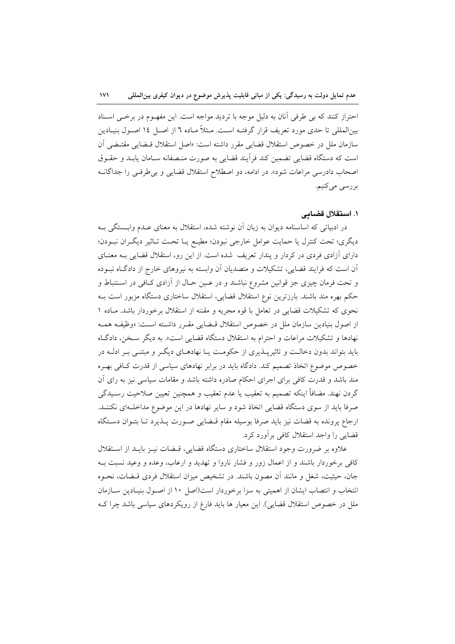احتراز كنند كه بي طرفي آنان به دليل موجه با ترديد مواجه است. اين مفهـوم در برخـي اسـناد بین|لمللی تا حدی مورد تعریف قرار گرفتـه اسـت. مـثلاً مـاده ٦ از اصـل ١٤ اصـول بنیـادین سازمان ملل در خصوص استقلال قضايي مقرر داشته است: «اصل استقلال قـضايي مقتـضي آن است كه دستگاه قضايي تضمين كند فرأيند قضايي به صورت منـصفانه سـامان يابـد و حقــوق اصحاب دادرسی مراعات شود». در ادامه، دو اصطلاح استقلال قضایی و بی طرفی را جداگانـه بررسى مىكنيم.

### ١. استقلال قضائی

در ادبیاتی که اساسنامه دیوان به زبان آن نوشته شده، استقلال به معنای عـدم وابـستگی بـه ديگري؛ تحت كنترل يا حمايت عوامل خارجي نبودن؛ مطيـع يـا تحـت تـاثير ديگـران نبـودن؛ دارای آزادی فردی در کردار و پندار تعریف شده است. از این رو، استقلال قضایی بـه معنــای آن است که فرایند قضایی، تشکیلات و متصدیان آن وابسته به نیروهای خارج از دادگـاه نبــوده و تحت فرمان چیزی جز قوانین مشروع نباشند و در عـین حـال از آزادی کـافی در اسـتنباط و حکم بهره مند باشند. بارزترین نوع استقلال قضایی، استقلال ساختاری دستگاه مزبور است بـه نحوی که تشکیلات قضایی در تعامل با قوه مجریه و مقننه از استقلال برخوردار باشد. مـاده ١ از اصول بنیادین سازمان ملل در خصوص استقلال قبضایی مقبرر داشته است: «وظیف همبه نهادها و تشکیلات مراعات و احترام به استقلال دستگاه قضایی است». به دیگر سـخن، دادگـاه باید بتواند بدون دخالـت و تاثیرپــذیری از حکومـت یــا نهادهــای دیگــر و مبتنــی بــر ادلــه در خصوص موضوع اتخاذ تصميم كند. دادگاه بايد در برابر نهادهاى سياسي از قدرت كافي بهره مند باشد و قدرت کافی برای اجرای احکام صادره داشته باشد و مقامات سیاسی نیز به رای آن گردن نهند. مضافاً اینکه تصمیم به تعقیب یا عدم تعقیب و همچنین تعیین صلاحیت رسـیدگی صرفا باید از سوی دستگاه قضایی اتخاذ شود و سایر نهادها در این موضوع مداخلـهای نکننـد. ارجاع پرونده به قضات نیز باید صرفا بوسیله مقام قبضایی صورت پلذیرد تـا بتـوان دسـتگاه قضایی را واجد استقلال کافی بر آورد کرد.

علاوه بر ضرورت وجود استقلال ساختارى دستگاه قضايى، قـضات نيـز بايـد از اسـتقلال کافی برخوردار باشند و از اعمال زور و فشار ناروا و تهدید و ارعاب، وعده و وعید نسبت بـه جان، حیثیت، شغل و مانند آن مصون باشند. در تشخیص میزان استقلال فردی قبضات، نحبوه انتخاب و انتصاب ایشان از اهمیتی به سزا برخوردار است(اصل ۱۰ از اصـول بنیـادین سـازمان ملل در خصوص استقلال قضایی). این معیار ها باید فارغ از رویکردهای سیاسی باشد چرا ک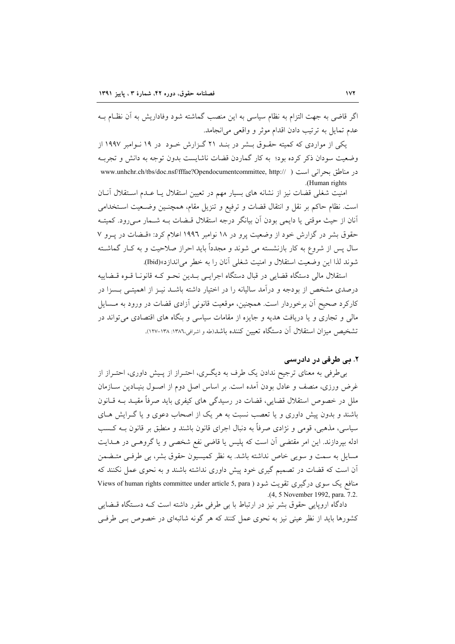اگر قاضی به جهت التزام به نظام سیاسی به این منصب گماشته شود وفاداریش به آن نظـام بــه عدم تمايل به ترتيب دادن اقدام موثر و واقعي مي انجامد.

یکی از مواردی که کمیته حقـوق بــشر در بنــد ۲۱ گـزارش خــود در ۱۹ نــوامبر ۱۹۹۷ از وضعیت سودان ذکر کرده بود؛ به کار گماردن قضات ناشایست بدون توجه به دانش و تجرب در مناطق بحراني است ( //www.unhchr.ch/tbs/doc.nsf/fffae?Opendocumentcommittee, http:// ) .(Human rights)

امنیت شغلی قضات نیز از نشانه های بسیار مهم در تعیین استقلال یـا عـدم اسـتقلال آنــان است. نظام حاکم بر نقل و انتقال قضات و ترفیع و تنزیل مقام، همچنـین وضـعیت اسـتخدامی آنان از حیث موقتی یا دایمی بودن آن بیانگر درجه استقلال قبضات بـه شـمار مـیرود. کمیتـه حقوق بشر در گزارش خود از وضعیت پرو در ۱۸ نوامبر ۱۹۹۲ اعلام کرد: «قسضات در پـرو ۷ سال پس از شروع به کار بازنشسته می شوند و مجدداً باید احراز صلاحیت و به کـار گماشــته شوند لذا اين وضعيت استقلال و امنيت شغلي آنان را به خطر مي اندازد»(Ibid).

استقلال مالي دستگاه قضايي در قبال دستگاه اجرايـي بــدين نحـو كــه قانونــا قــوه قــضاييه درصدی مشخص از بودجه و درآمد سالیانه را در اختیار داشته باشــد نیــز از اهمیتــی بــسزا در کارکرد صحیح آن برخوردار است. همچنین، موقعیت قانونی آزادی قضات در ورود به مسایل مالي و تجاري و يا دريافت هديه و جايزه از مقامات سياسي و بنگاه هاي اقتصادي مي تواند در تشخيص ميزان استقلال آن دستگاه تعيين كننده باشد(طه و اشرافي،١٣٨٦: ١٣٨١-١٢٧).

## ۲. بی طرفی در دادرسی

بی طرفی به معنای ترجیح ندادن یک طرف به دیگری، احتـراز از پـیش داوری، احتـراز از غرض ورزی، منصف و عادل بودن آمده است. بر اساس اصل دوم از اصـول بنیـادین ســازمان ملل در خصوص استقلال قضایی، قضات در رسیدگی های کیفری باید صرفاً مقیـد بــه قــانون باشند و بدون پیش داوری و یا تعصب نسبت به هر یک از اصحاب دعوی و یا گـرایش هـای سیاسی، مذهبی، قومی و نژادی صرفاً به دنبال اجرای قانون باشند و منطبق بر قانون بــه کــسب ادله بپردازند. این امر مقتضی آن است که پلیس یا قاضی نفع شخصی و یا گروهـی در هــدایت مسایل به سمت و سویی خاص نداشته باشد. به نظر کمیسیون حقوق بشر، بی طرفی متیضمن آن است که قضات در تصمیم گیری خود پیش داوری نداشته باشند و به نحوی عمل نکنند که منافع یک سوی درگیری تقویت شود ( Views of human rights committee under article 5, para .(4, 5 November 1992, para. 7.2.

دادگاه اروپایی حقوق بشر نیز در ارتباط با بی طرفی مقرر داشته است کـه دســتگاه قــضایی کشورها باید از نظر عینی نیز به نحوی عمل کنند که هر گونه شائبهای در خصوص ببی طرفبی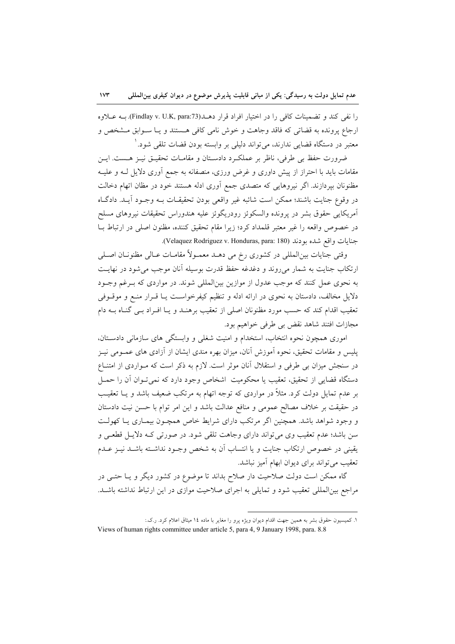را نفي كند و تضمينات كافي را در اختيار افراد قرار دهـــد(Findlay v. U.K, para:73). بــه عــلاوه ارجاع پرونده به قضاتی که فاقد وجاهت و خوش نامی کافی هستند و پـا سـوابق مـشخص و معتبر در دستگاه قضایی ندارند، می تواند دلیلی بر وابسته بودن قضات تلقی شود. ٰ

ضرورت حفظ بی طرفی، ناظر بر عملک د دادسـتان و مقامـات تحقيــق نيــز هــست. ايــن مقامات باید با احتراز از پیش داوری و غرض ورزی، منصفانه به جمع آوری دلایل لـه و علیـه مظنونان بپردازند. اگر نیروهایی که متصدی جمع آوری ادله هستند خود در مظان اتهام دخالت در وقوع جنايت باشند؛ ممكن است شائبه غير واقعي بودن تحقيقـات بـه وجـود آيـد. دادگـاه آمريكايي حقوق بشر در پرونده والسكوئز رودريگوئز عليه هندوراس تحقيقات نيروهاي مسلح در خصوص واقعه را غیر معتبر قلمداد کرد؛ زیرا مقام تحقیق کننده، مظنون اصلی در ارتباط بـا جنايات واقع شده بودند (Velaquez Rodriguez v. Honduras, para: 180).

وقتي جنايات بين|لمللي در كشوري رخ مي دهــد معمــولاً مقامــات عــالي مظنونــان اصــلي ارتکاب جنایت به شمار میروند و دغدغه حفظ قدرت بوسیله آنان موجب می شود در نهایت به نحوی عمل کنند که موجب عدول از موازین بینالمللی شوند. در مواردی که بـرغم وجـود دلایل مخالف، دادستان به نحوی در ارائه ادله و تنظیم کیفرخواست یـا قـرار منـع و موقــوفی تعقیب اقدام کند که حسب مورد مظنونان اصلی از تعقیب برهنـد و یـا افـراد بـی گنـاه بـه دام مجازات افتند شاهد نقض بي طرفي خواهيم بود.

اموری همچون نحوه انتخاب، استخدام و امنیت شغلی و وابستگی های سازمانی دادسـتان، پلیس و مقامات تحقیق، نحوه آموزش آنان، میزان بهره مندی ایشان از آزادی های عمــومی نیــز در سنجش میزان بی طرفی و استقلال آنان موثر است. لازم به ذکر است که مـواردی از امتنــاع دستگاه قضایی از تحقیق، تعقیب یا محکومیت اشخاص وجود دارد که نمیتوان آن را حمـل بر عدم تمایل دولت کرد. مثلاً در مواردی که توجه اتهام به مرتکب ضعیف باشد و یــا تعقیــب در حقیقت بر خلاف مصالح عمومی و منافع عدالت باشد و این امر توام با حسن نیت دادستان و وجود شواهد باشد. همچنین اگر مرتکب دارای شرایط خاص همچـون بیمـاری یـا کهولـت سن باشد؛ عدم تعقیب وی می تواند دارای وجاهت تلقی شود. در صورتی کـه دلایـل قطعـی و يقيني در خصوص ارتكاب جنايت و يا انتساب آن به شخص وجـود نداشـته باشـد نيـز عـدم تعقیب می تواند برای دیوان ابهام آمیز نباشد.

گاه ممکن است دولت صلاحیت دار صلاح بداند تا موضوع در کشور دیگر و یـا حتـی در مراجع بینالمللی تعقیب شود و تمایلی به اجرای صلاحیت موازی در این ارتباط نداشته باشـد.

١. كميسيون حقوق بشر به همين جهت اقدام ديوان ويژه پرو را مغاير با ماده ١٤ ميثاق اعلام كرد. ر.ك.:

Views of human rights committee under article 5, para 4, 9 January 1998, para. 8.8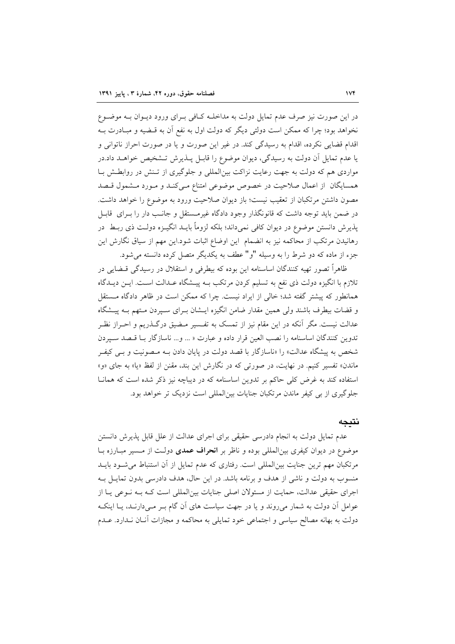در این صورت نیز صرف عدم تمایل دولت به مداخلـه کـافی بـرای ورود دیـوان بـه موضـوع نخواهد بود؛ چرا که ممکن است دولتی دیگر که دولت اول به نفع آن به قـضیه و مبـادرت بـه اقدام قضایی نکرده، اقدام به رسیدگی کند. در غیر این صورت و یا در صورت احراز ناتوانی و یا عدم تمایل آن دولت به رسیدگی، دیوان موضوع را قابـل پــذیرش تــشخیص خواهــد داد.در مواردی هم که دولت به جهت رعایت نزاکت بین|لمللی و جلوگیری از تـنش در روابطـش بـا همسایگان از اعمال صلاحیت در خصوص موضوعی امتناع مـیکنـد و مـورد مـشمول قـصد مصون داشتن مرتکبان از تعقیب نیست؛ باز دیوان صلاحیت ورود به موضوع را خواهد داشت. در ضمن باید توجه داشت که قانونگذار وجود دادگاه غیرمستقل و جانب دار را بـرای قابـل پذیرش دانستن موضوع در دیوان کافی نمیداند؛ بلکه لزوماً بایــد انگیــزه دولــت ذی ربــط در رهانیدن مرتکب از محاکمه نیز به انضمام این اوضاع اثبات شود.این مهم از سیاق نگارش این جزء از ماده که دو شرط را به وسیله "و" عطف به یکدیگر متصل کرده دانسته می شود.

ظاهراً تصور تهیه کنندگان اساسنامه این بوده که بیطرفی و استقلال در رسیدگی قــضایی در تلازم با انگیزه دولت ذی نفع به تسلیم کردن مرتکب بـه پیـشگاه عـدالت اسـت. ایــن دیــدگاه همانطور که پیشتر گفته شد؛ خالبی از ایراد نیست. چرا که ممکن است در ظاهر دادگاه مستقل و قضات بیطرف باشند ولی همین مقدار ضامن انگیزه ایــشان بــرای ســپردن مـتهم بــه پیــشگاه عدالت نیست. مگر آنکه در این مقام نیز از تمسک به تفـسیر مـضیق درگــذریم و احــراز نظـر تدوين كنندگان اساسنامه را نصب العين قرار داده و عبارت « ... و... ناسازگار با قصد سپردن شخص به پیشگاه عدالت» را «ناسازگار با قصد دولت در پایان دادن بـه مـصونیت و بـی کیفـر ماندن» تفسیر کنیم. در نهایت، در صورتی که در نگارش این بند، مقنن از لفظ «یا» به جای «و» استفاده کند به غرض کلی حاکم بر تدوین اساسنامه که در دیباچه نیز ذکر شده است که همانا جلوگیری از بی کیفر ماندن مرتکبان جنایات بینالمللی است نزدیک تر خواهد بود.

## نتىحە

عدم تمایل دولت به انجام دادرسی حقیقی برای اجرای عدالت از علل قابل پذیرش دانستن موضوع در دیوان کیفری بین|لمللی بوده و ناظر بر **انحراف عمدی** دولت از مسیر مبـارزه بـا مرتکبان مهم ترین جنایت بین|لمللی است. رفتاری که عدم تمایل از آن استنباط می شـود بایــد منسوب به دولت و ناشی از هدف و برنامه باشد. در این حال، هدف دادرسی بدون تمایـل بـه اجرای حقیقی عدالت، حمایت از مسئولان اصلی جنایات بینالمللی است کـه بـه نـوعی پـا از عوامل آن دولت به شمار می روند و یا در جهت سیاست های آن گام بـر مـیدارنـد، یـا اینکـه دولت به بهانه مصالح سیاسی و اجتماعی خود تمایلی به محاکمه و مجازات آنـان نـدارد. عــدم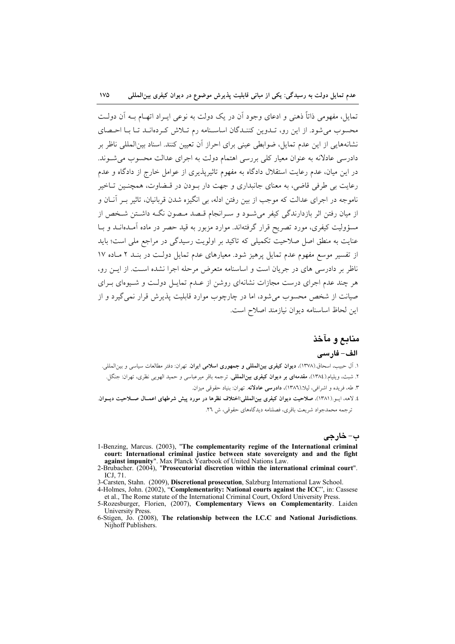تمایل، مفهومی ذاتاً ذهنی و ادعای وجود آن در یک دولت به نوعی ایـراد اتهـام بــه آن دولــت محسوب می شود. از این رو، تیدوین کننیدگان اساسینامه رم تیلاش که دهانید تیا یا احتصای نشانههایی از این عدم تمایل، ضوابطی عینی برای احراز آن تعیین کنند. اسناد بین|لمللی ناظر بر دادرسی عادلانه به عنوان معیار کلی بررسی اهتمام دولت به اجرای عدالت محسوب می شوند. در این میان، عدم رعایت استقلال دادگاه به مفهوم تاثیرپذیری از عوامل خارج از دادگاه و عدم رعایت بی طرفی قاضی، به معنای جانبداری و جهت دار بـودن در قـضاوت، همچنـین تـاخیر ناموجه در اجرای عدالت که موجب از بین رفتن ادله، بی انگیزه شدن قربانیان، تاثیر بــر آنــان و از میان رفتن اثر بازدارندگی کیفر می شـود و سـرانجام قـصد مـصون نگـه داشـتن شـخص از مسؤولیت کیفری، مورد تصریح قرار گرفتهاند. موارد مزبور به قید حصر در ماده آمـدهانــد و بــا عنایت به منطق اصل صلاحیت تکمیلی که تاکید بر اولویت رسیدگی در مراجع ملی است؛ باید از تفسیر موسع مفهوم عدم تمایل پرهیز شود. معیارهای عدم تمایل دولت در بنـد ۲ مـاده ۱۷ ناظر بر دادرسی های در جریان است و اساسنامه متعرض مرحله اجرا نشده است. از ایــن رو، هر چند عدم اجرای درست مجازات نشانهای روشن از عـدم تمایـل دولـت و شـیوهای بـرای صیانت از شخص محسوب می شود، اما در چارچوب موارد قابلیت پذیرش قرار نمی گیرد و از اين لحاظ اساسنامه ديوان نيازمند اصلاح است.

## منابع و مآخذ

#### الف– فارسى

۱. آل حبیب، اسحاق (۱۳۷۸)، **دیوان کیفری بین|لمللی و جمهوری اسلامی ایران**. تهران: دفتر مطالعات سیاسی و بین|لمللی. ۲. شبث، ویلیام.(۱۳۸٤)، مقدمها**ی بر دیوان کیفری بین|لمللی**. ترجمه باقر میرعباسی و حمید الهویی نظری، تهران: جنگل. ٣. طه، فريده و اشرافي، ليلا.(١٣٨٦)، دادرسي عادلانه. تهران: بنياد حقوقي ميزان. ٤. لاهه، ايـو.(١٣٨١)، صلاحيت ديوان كيفري بين|لمللي:اختلاف نظرها در مورد ييش شرطهاي اعمـال صــلاحيت ديــوان.

ترجمه محمدجواد شريعت باقري، فصلنامه ديدگاههاي حقوقي، ش ٢٦.

ب- خارجي

- 1-Benzing, Marcus. (2003), "The complementarity regime of the International criminal court: International criminal justice between state sovereignty and and the fight against impunity". Max Planck Yearbook of United Nations Law.<br>2-Brubacher. (2004), "Prosecutorial discretion within the international criminal court".
- **ICJ 71**
- 3-Carsten, Stahn. (2009), Discretional prosecution, Salzburg International Law School.<br>4-Holmes, John. (2002), "Complementarity: National courts against the ICC", in: Cassese
- et al., The Rome statute of the International Criminal Court, Oxford University Press.

6-Stigen, Jo. (2008), The relationship between the I.C.C and National Jurisdictions. Nijhoff Publishers.

<sup>5-</sup>Rozesburger, Florien, (2007), Complementary Views on Complementarity. Laiden **University Press**